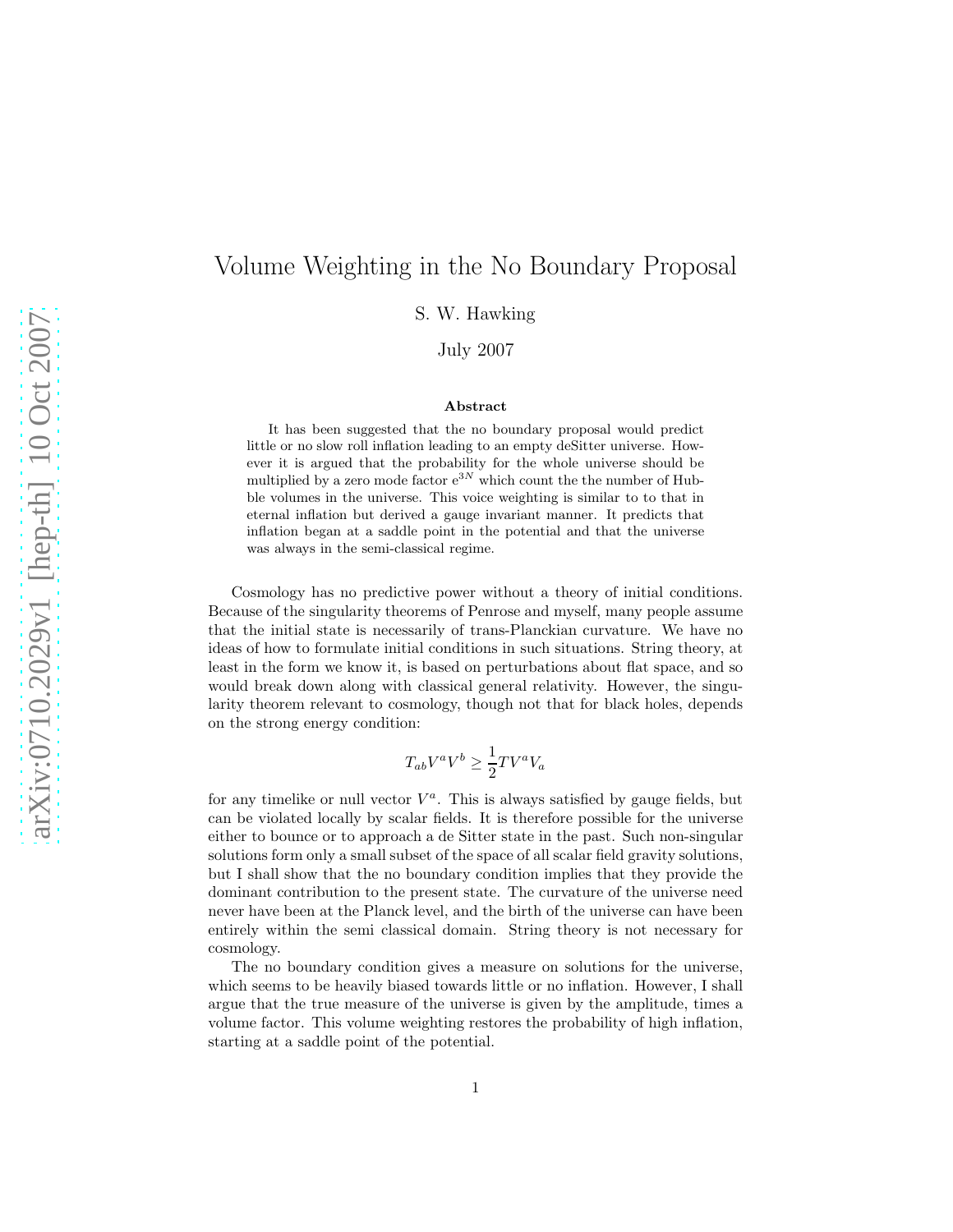## Volume Weighting in the No Boundary Proposal

S. W. Hawking

July 2007

## Abstract

It has been suggested that the no boundary proposal would predict little or no slow roll inflation leading to an empty deSitter universe. However it is argued that the probability for the whole universe should be multiplied by a zero mode factor  $e^{3N}$  which count the the number of Hubble volumes in the universe. This voice weighting is similar to to that in eternal inflation but derived a gauge invariant manner. It predicts that inflation began at a saddle point in the potential and that the universe was always in the semi-classical regime.

Cosmology has no predictive power without a theory of initial conditions. Because of the singularity theorems of Penrose and myself, many people assume that the initial state is necessarily of trans-Planckian curvature. We have no ideas of how to formulate initial conditions in such situations. String theory, at least in the form we know it, is based on perturbations about flat space, and so would break down along with classical general relativity. However, the singularity theorem relevant to cosmology, though not that for black holes, depends on the strong energy condition:

$$
T_{ab}V^aV^b\geq \frac{1}{2}TV^aV_a
$$

for any timelike or null vector  $V^a$ . This is always satisfied by gauge fields, but can be violated locally by scalar fields. It is therefore possible for the universe either to bounce or to approach a de Sitter state in the past. Such non-singular solutions form only a small subset of the space of all scalar field gravity solutions, but I shall show that the no boundary condition implies that they provide the dominant contribution to the present state. The curvature of the universe need never have been at the Planck level, and the birth of the universe can have been entirely within the semi classical domain. String theory is not necessary for cosmology.

The no boundary condition gives a measure on solutions for the universe, which seems to be heavily biased towards little or no inflation. However, I shall argue that the true measure of the universe is given by the amplitude, times a volume factor. This volume weighting restores the probability of high inflation, starting at a saddle point of the potential.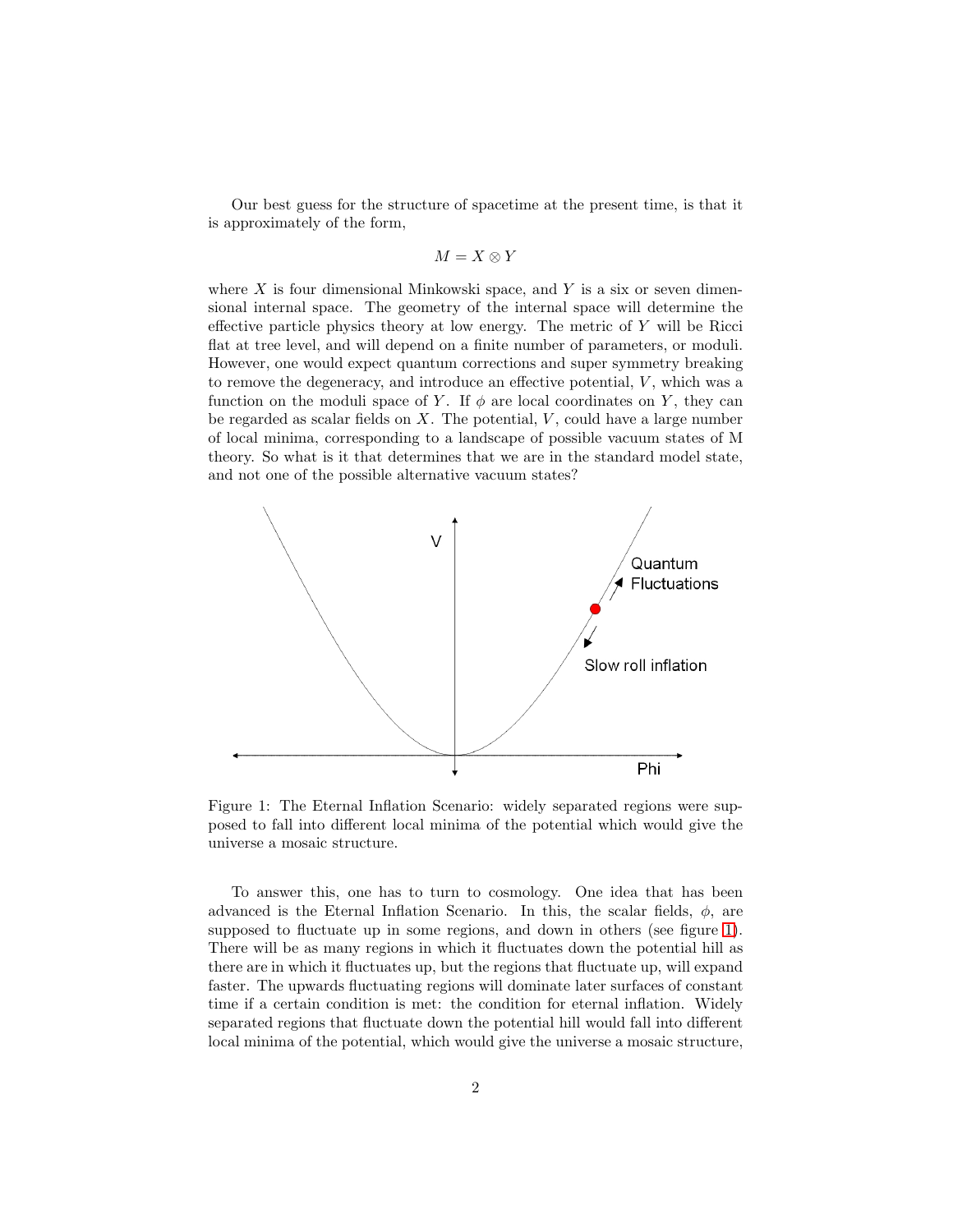Our best guess for the structure of spacetime at the present time, is that it is approximately of the form,

$$
M=X\otimes Y
$$

where  $X$  is four dimensional Minkowski space, and  $Y$  is a six or seven dimensional internal space. The geometry of the internal space will determine the effective particle physics theory at low energy. The metric of  $Y$  will be Ricci flat at tree level, and will depend on a finite number of parameters, or moduli. However, one would expect quantum corrections and super symmetry breaking to remove the degeneracy, and introduce an effective potential,  $V$ , which was a function on the moduli space of Y. If  $\phi$  are local coordinates on Y, they can be regarded as scalar fields on  $X$ . The potential,  $V$ , could have a large number of local minima, corresponding to a landscape of possible vacuum states of M theory. So what is it that determines that we are in the standard model state, and not one of the possible alternative vacuum states?



<span id="page-1-0"></span>Figure 1: The Eternal Inflation Scenario: widely separated regions were supposed to fall into different local minima of the potential which would give the universe a mosaic structure.

To answer this, one has to turn to cosmology. One idea that has been advanced is the Eternal Inflation Scenario. In this, the scalar fields,  $\phi$ , are supposed to fluctuate up in some regions, and down in others (see figure [1\)](#page-1-0). There will be as many regions in which it fluctuates down the potential hill as there are in which it fluctuates up, but the regions that fluctuate up, will expand faster. The upwards fluctuating regions will dominate later surfaces of constant time if a certain condition is met: the condition for eternal inflation. Widely separated regions that fluctuate down the potential hill would fall into different local minima of the potential, which would give the universe a mosaic structure,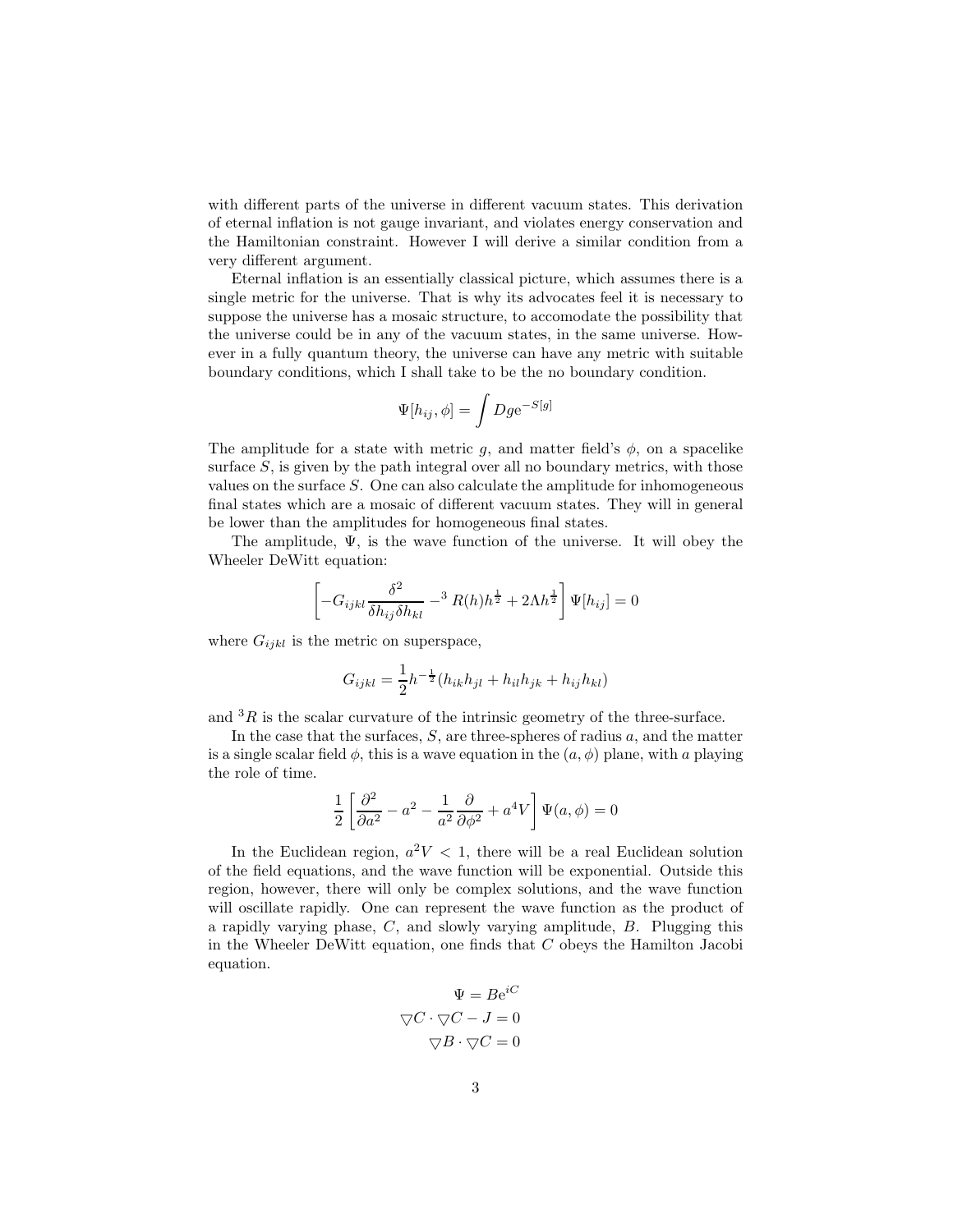with different parts of the universe in different vacuum states. This derivation of eternal inflation is not gauge invariant, and violates energy conservation and the Hamiltonian constraint. However I will derive a similar condition from a very different argument.

Eternal inflation is an essentially classical picture, which assumes there is a single metric for the universe. That is why its advocates feel it is necessary to suppose the universe has a mosaic structure, to accomodate the possibility that the universe could be in any of the vacuum states, in the same universe. However in a fully quantum theory, the universe can have any metric with suitable boundary conditions, which I shall take to be the no boundary condition.

$$
\Psi[h_{ij},\phi]=\int Dg \mathrm{e}^{-S[g]}
$$

The amplitude for a state with metric g, and matter field's  $\phi$ , on a spacelike surface  $S$ , is given by the path integral over all no boundary metrics, with those values on the surface  $S$ . One can also calculate the amplitude for inhomogeneous final states which are a mosaic of different vacuum states. They will in general be lower than the amplitudes for homogeneous final states.

The amplitude,  $\Psi$ , is the wave function of the universe. It will obey the Wheeler DeWitt equation:

$$
\left[-G_{ijkl}\frac{\delta^2}{\delta h_{ij}\delta h_{kl}} - ^3R(h)h^{\frac{1}{2}} + 2\Lambda h^{\frac{1}{2}}\right]\Psi[h_{ij}] = 0
$$

where  $G_{ijkl}$  is the metric on superspace,

$$
G_{ijkl} = \frac{1}{2}h^{-\frac{1}{2}}(h_{ik}h_{jl} + h_{il}h_{jk} + h_{ij}h_{kl})
$$

and  ${}^{3}R$  is the scalar curvature of the intrinsic geometry of the three-surface.

In the case that the surfaces,  $S$ , are three-spheres of radius  $a$ , and the matter is a single scalar field  $\phi$ , this is a wave equation in the  $(a, \phi)$  plane, with a playing the role of time.

$$
\frac{1}{2} \left[ \frac{\partial^2}{\partial a^2} - a^2 - \frac{1}{a^2} \frac{\partial}{\partial \phi^2} + a^4 V \right] \Psi(a, \phi) = 0
$$

In the Euclidean region,  $a^2V < 1$ , there will be a real Euclidean solution of the field equations, and the wave function will be exponential. Outside this region, however, there will only be complex solutions, and the wave function will oscillate rapidly. One can represent the wave function as the product of a rapidly varying phase, C, and slowly varying amplitude, B. Plugging this in the Wheeler DeWitt equation, one finds that C obeys the Hamilton Jacobi equation.

$$
\Psi = Be^{iC}
$$

$$
\nabla C \cdot \nabla C - J = 0
$$

$$
\nabla B \cdot \nabla C = 0
$$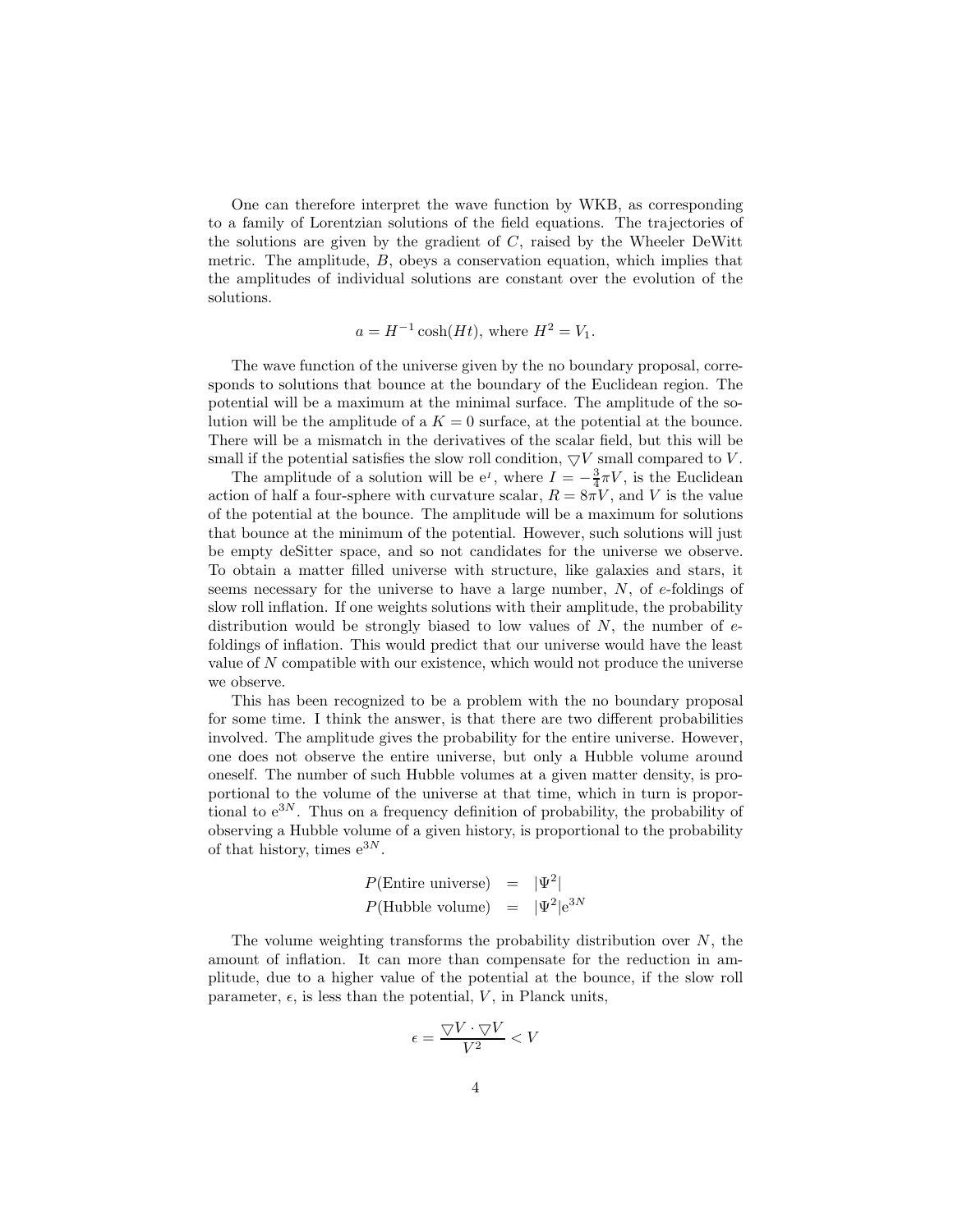One can therefore interpret the wave function by WKB, as corresponding to a family of Lorentzian solutions of the field equations. The trajectories of the solutions are given by the gradient of  $C$ , raised by the Wheeler DeWitt metric. The amplitude,  $B$ , obeys a conservation equation, which implies that the amplitudes of individual solutions are constant over the evolution of the solutions.

$$
a = H^{-1}\cosh(Ht), \text{ where } H^2 = V_1.
$$

The wave function of the universe given by the no boundary proposal, corresponds to solutions that bounce at the boundary of the Euclidean region. The potential will be a maximum at the minimal surface. The amplitude of the solution will be the amplitude of a  $K = 0$  surface, at the potential at the bounce. There will be a mismatch in the derivatives of the scalar field, but this will be small if the potential satisfies the slow roll condition,  $\bigtriangledown V$  small compared to V.

The amplitude of a solution will be  $e^I$ , where  $I = -\frac{3}{4}\pi V$ , is the Euclidean action of half a four-sphere with curvature scalar,  $R = 8\pi V$ , and V is the value of the potential at the bounce. The amplitude will be a maximum for solutions that bounce at the minimum of the potential. However, such solutions will just be empty deSitter space, and so not candidates for the universe we observe. To obtain a matter filled universe with structure, like galaxies and stars, it seems necessary for the universe to have a large number, N, of e-foldings of slow roll inflation. If one weights solutions with their amplitude, the probability distribution would be strongly biased to low values of  $N$ , the number of  $e$ foldings of inflation. This would predict that our universe would have the least value of N compatible with our existence, which would not produce the universe we observe.

This has been recognized to be a problem with the no boundary proposal for some time. I think the answer, is that there are two different probabilities involved. The amplitude gives the probability for the entire universe. However, one does not observe the entire universe, but only a Hubble volume around oneself. The number of such Hubble volumes at a given matter density, is proportional to the volume of the universe at that time, which in turn is proportional to  $e^{3N}$ . Thus on a frequency definition of probability, the probability of observing a Hubble volume of a given history, is proportional to the probability of that history, times  $e^{3N}$ .

$$
P(\text{Entire universe}) = |\Psi^2|
$$
  
 $P(\text{Hubble volume}) = |\Psi^2|e^{3N}$ 

The volume weighting transforms the probability distribution over  $N$ , the amount of inflation. It can more than compensate for the reduction in amplitude, due to a higher value of the potential at the bounce, if the slow roll parameter,  $\epsilon$ , is less than the potential, V, in Planck units,

$$
\epsilon = \frac{\bigtriangledown V \cdot \bigtriangledown V}{V^2} < V
$$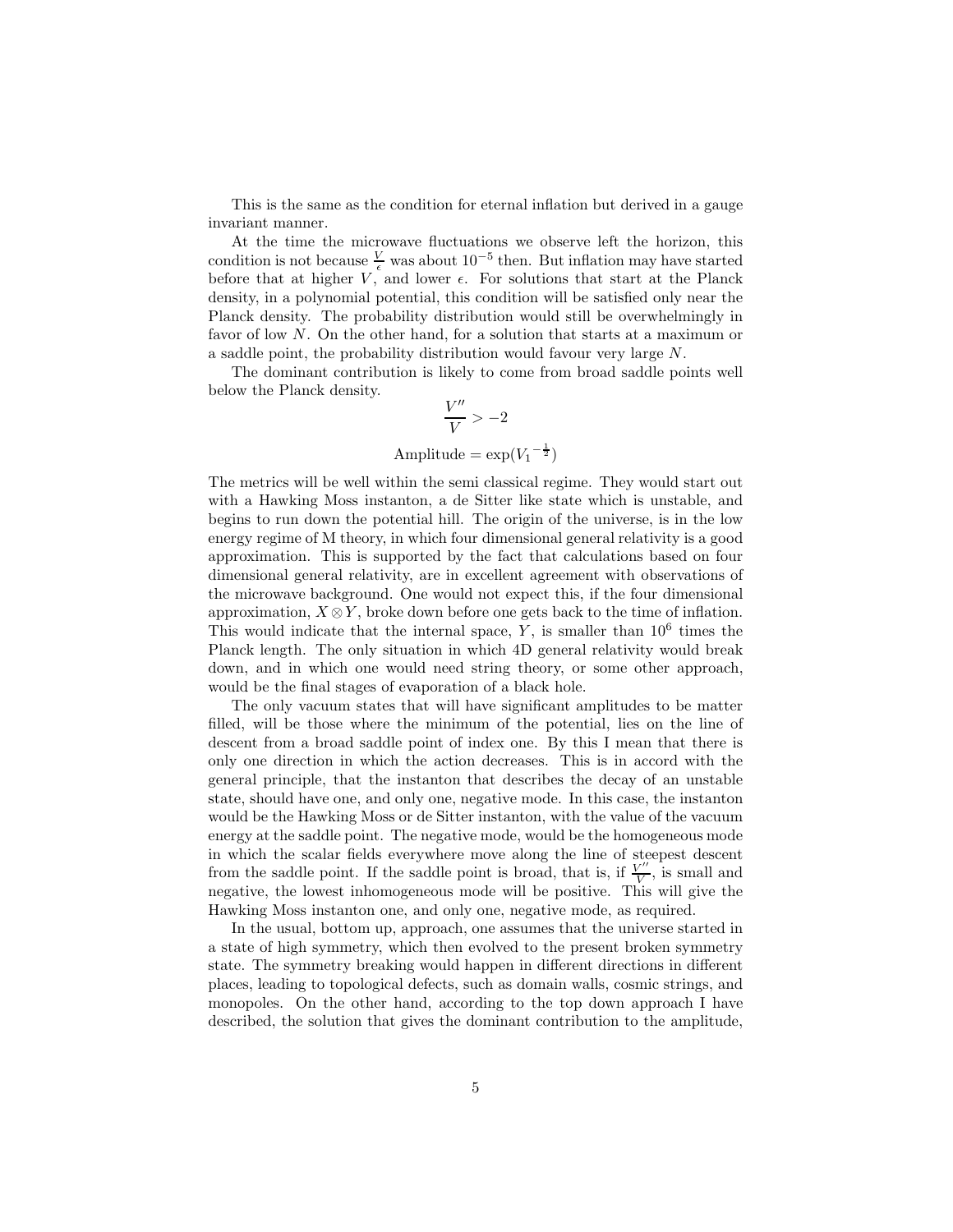This is the same as the condition for eternal inflation but derived in a gauge invariant manner.

At the time the microwave fluctuations we observe left the horizon, this condition is not because  $\frac{V}{\epsilon}$  was about 10<sup>-5</sup> then. But inflation may have started before that at higher  $V_1^{\text{c}}$  and lower  $\epsilon$ . For solutions that start at the Planck density, in a polynomial potential, this condition will be satisfied only near the Planck density. The probability distribution would still be overwhelmingly in favor of low N. On the other hand, for a solution that starts at a maximum or a saddle point, the probability distribution would favour very large N.

The dominant contribution is likely to come from broad saddle points well below the Planck density.

$$
\frac{V''}{V} > -2
$$
  
Amplitude = exp( $V_1$  <sup>$-\frac{1}{2}$</sup> )

The metrics will be well within the semi classical regime. They would start out with a Hawking Moss instanton, a de Sitter like state which is unstable, and begins to run down the potential hill. The origin of the universe, is in the low energy regime of M theory, in which four dimensional general relativity is a good approximation. This is supported by the fact that calculations based on four dimensional general relativity, are in excellent agreement with observations of the microwave background. One would not expect this, if the four dimensional approximation,  $X \otimes Y$ , broke down before one gets back to the time of inflation. This would indicate that the internal space,  $Y$ , is smaller than  $10^6$  times the Planck length. The only situation in which 4D general relativity would break down, and in which one would need string theory, or some other approach, would be the final stages of evaporation of a black hole.

The only vacuum states that will have significant amplitudes to be matter filled, will be those where the minimum of the potential, lies on the line of descent from a broad saddle point of index one. By this I mean that there is only one direction in which the action decreases. This is in accord with the general principle, that the instanton that describes the decay of an unstable state, should have one, and only one, negative mode. In this case, the instanton would be the Hawking Moss or de Sitter instanton, with the value of the vacuum energy at the saddle point. The negative mode, would be the homogeneous mode in which the scalar fields everywhere move along the line of steepest descent from the saddle point. If the saddle point is broad, that is, if  $\frac{V''}{V}$  $\frac{\sqrt{n}}{V}$ , is small and negative, the lowest inhomogeneous mode will be positive. This will give the Hawking Moss instanton one, and only one, negative mode, as required.

In the usual, bottom up, approach, one assumes that the universe started in a state of high symmetry, which then evolved to the present broken symmetry state. The symmetry breaking would happen in different directions in different places, leading to topological defects, such as domain walls, cosmic strings, and monopoles. On the other hand, according to the top down approach I have described, the solution that gives the dominant contribution to the amplitude,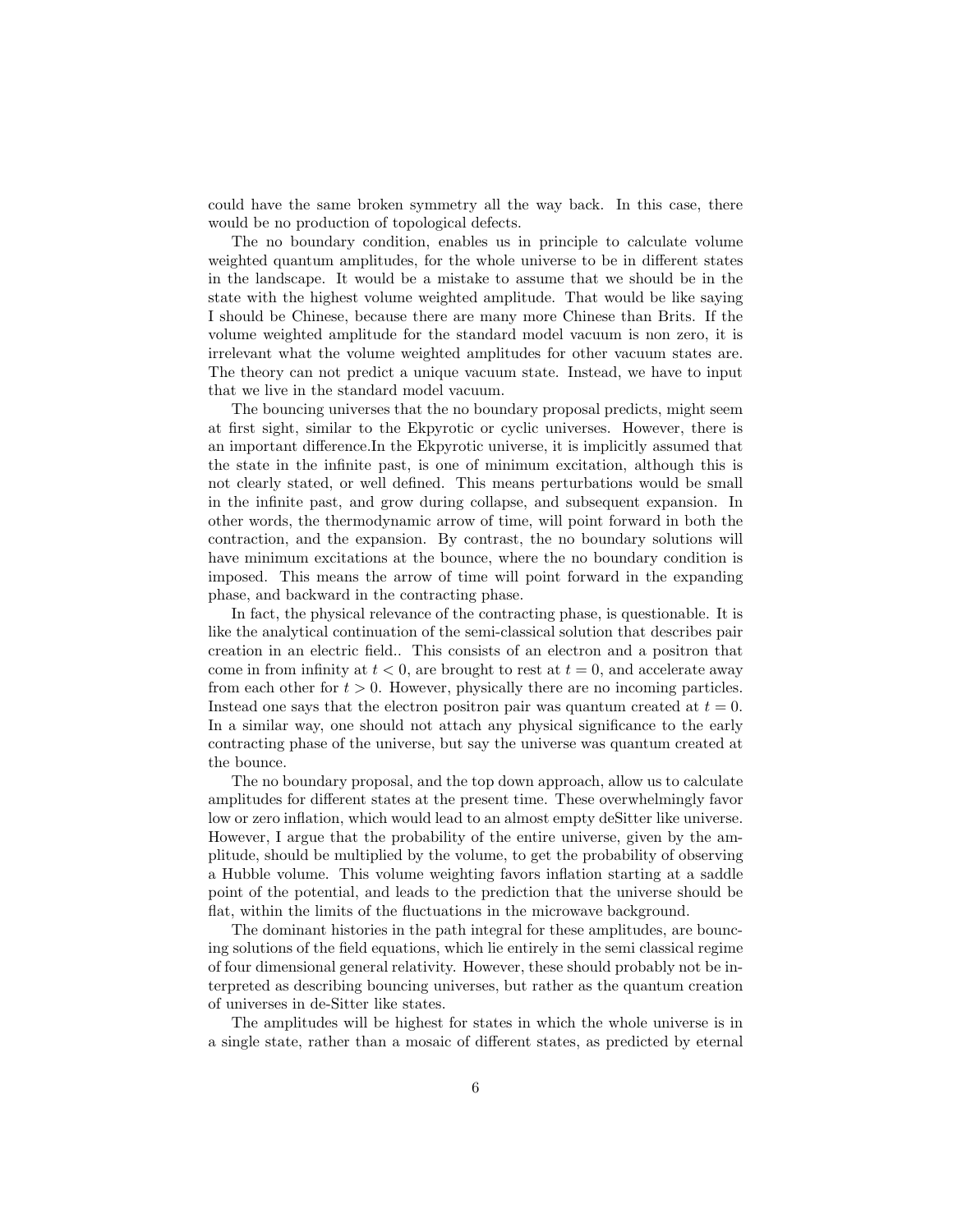could have the same broken symmetry all the way back. In this case, there would be no production of topological defects.

The no boundary condition, enables us in principle to calculate volume weighted quantum amplitudes, for the whole universe to be in different states in the landscape. It would be a mistake to assume that we should be in the state with the highest volume weighted amplitude. That would be like saying I should be Chinese, because there are many more Chinese than Brits. If the volume weighted amplitude for the standard model vacuum is non zero, it is irrelevant what the volume weighted amplitudes for other vacuum states are. The theory can not predict a unique vacuum state. Instead, we have to input that we live in the standard model vacuum.

The bouncing universes that the no boundary proposal predicts, might seem at first sight, similar to the Ekpyrotic or cyclic universes. However, there is an important difference.In the Ekpyrotic universe, it is implicitly assumed that the state in the infinite past, is one of minimum excitation, although this is not clearly stated, or well defined. This means perturbations would be small in the infinite past, and grow during collapse, and subsequent expansion. In other words, the thermodynamic arrow of time, will point forward in both the contraction, and the expansion. By contrast, the no boundary solutions will have minimum excitations at the bounce, where the no boundary condition is imposed. This means the arrow of time will point forward in the expanding phase, and backward in the contracting phase.

In fact, the physical relevance of the contracting phase, is questionable. It is like the analytical continuation of the semi-classical solution that describes pair creation in an electric field.. This consists of an electron and a positron that come in from infinity at  $t < 0$ , are brought to rest at  $t = 0$ , and accelerate away from each other for  $t > 0$ . However, physically there are no incoming particles. Instead one says that the electron positron pair was quantum created at  $t = 0$ . In a similar way, one should not attach any physical significance to the early contracting phase of the universe, but say the universe was quantum created at the bounce.

The no boundary proposal, and the top down approach, allow us to calculate amplitudes for different states at the present time. These overwhelmingly favor low or zero inflation, which would lead to an almost empty deSitter like universe. However, I argue that the probability of the entire universe, given by the amplitude, should be multiplied by the volume, to get the probability of observing a Hubble volume. This volume weighting favors inflation starting at a saddle point of the potential, and leads to the prediction that the universe should be flat, within the limits of the fluctuations in the microwave background.

The dominant histories in the path integral for these amplitudes, are bouncing solutions of the field equations, which lie entirely in the semi classical regime of four dimensional general relativity. However, these should probably not be interpreted as describing bouncing universes, but rather as the quantum creation of universes in de-Sitter like states.

The amplitudes will be highest for states in which the whole universe is in a single state, rather than a mosaic of different states, as predicted by eternal